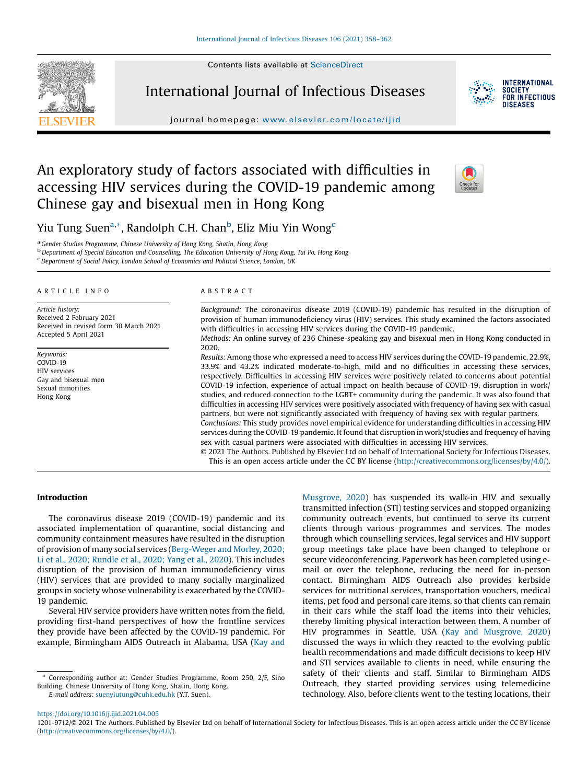Contents lists available at [ScienceDirect](http://www.sciencedirect.com/science/journal/12019712)



International Journal of Infectious Diseases



**INTERNATIONAL SOCIETY** FOR INFECTIOUS DISFASES

journal homepage: <www.elsevier.com/locate/ijid>

# An exploratory study of factors associated with difficulties in accessing HIV services during the COVID-19 pandemic among Chinese gay and bisexual men in Hong Kong



Yiu Tung Suen<sup>a,</sup>\*, Randolph C.H. Chan<sup>b</sup>, Eliz Miu Yin Wong<sup>c</sup>

<sup>a</sup> Gender Studies Programme, Chinese University of Hong Kong, Shatin, Hong Kong<br><sup>b</sup> Department of Special Education and Counselling, The Education University of Hong Kong, Tai Po, Hong Kong

Department of Social Policy, London School of Economics and Political Science, London, UK

#### A R T I C L E I N F O

Article history: Received 2 February 2021 Received in revised form 30 March 2021 Accepted 5 April 2021

Keywords: COVID-19 HIV services Gay and bisexual men Sexual minorities Hong Kong

# A B S T R A C T

Background: The coronavirus disease 2019 (COVID-19) pandemic has resulted in the disruption of provision of human immunodeficiency virus (HIV) services. This study examined the factors associated with difficulties in accessing HIV services during the COVID-19 pandemic.

Methods: An online survey of 236 Chinese-speaking gay and bisexual men in Hong Kong conducted in 2020.

Results: Among those who expressed a need to access HIV services during the COVID-19 pandemic, 22.9%, 33.9% and 43.2% indicated moderate-to-high, mild and no difficulties in accessing these services, respectively. Difficulties in accessing HIV services were positively related to concerns about potential COVID-19 infection, experience of actual impact on health because of COVID-19, disruption in work/ studies, and reduced connection to the LGBT+ community during the pandemic. It was also found that difficulties in accessing HIV services were positively associated with frequency of having sex with casual partners, but were not significantly associated with frequency of having sex with regular partners. Conclusions: This study provides novel empirical evidence for understanding difficulties in accessing HIV services during the COVID-19 pandemic. It found that disruption in work/studies and frequency of having sex with casual partners were associated with difficulties in accessing HIV services.

© 2021 The Authors. Published by Elsevier Ltd on behalf of International Society for Infectious Diseases. This is an open access article under the CC BY license [\(http://creativecommons.org/licenses/by/4.0/](http://creativecommons.org/licenses/by/4.0/)).

# Introduction

The coronavirus disease 2019 (COVID-19) pandemic and its associated implementation of quarantine, social distancing and community containment measures have resulted in the disruption of provision of many social services ([Berg-Weger](#page-4-0) and Morley, 2020; Li et al., 2020; [Rundle](#page-4-0) et al., 2020; Yang et al., 2020). This includes disruption of the provision of human immunodeficiency virus (HIV) services that are provided to many socially marginalized groups in society whose vulnerability is exacerbated by the COVID-19 pandemic.

Several HIV service providers have written notes from the field, providing first-hand perspectives of how the frontline services they provide have been affected by the COVID-19 pandemic. For example, Birmingham AIDS Outreach in Alabama, USA [\(Kay](#page-4-0) and

\* Corresponding author at: Gender Studies Programme, Room 250, 2/F, Sino Building, Chinese University of Hong Kong, Shatin, Hong Kong. E-mail address: [suenyiutung@cuhk.edu.hk](mailto:suenyiutung@cuhk.edu.hk) (Y.T. Suen).

[Musgrove,](#page-4-0) 2020) has suspended its walk-in HIV and sexually transmitted infection (STI) testing services and stopped organizing community outreach events, but continued to serve its current clients through various programmes and services. The modes through which counselling services, legal services and HIV support group meetings take place have been changed to telephone or secure videoconferencing. Paperwork has been completed using email or over the telephone, reducing the need for in-person contact. Birmingham AIDS Outreach also provides kerbside services for nutritional services, transportation vouchers, medical items, pet food and personal care items, so that clients can remain in their cars while the staff load the items into their vehicles, thereby limiting physical interaction between them. A number of HIV programmes in Seattle, USA (Kay and [Musgrove,](#page-4-0) 2020) discussed the ways in which they reacted to the evolving public health recommendations and made difficult decisions to keep HIV and STI services available to clients in need, while ensuring the safety of their clients and staff. Similar to Birmingham AIDS Outreach, they started providing services using telemedicine technology. Also, before clients went to the testing locations, their

<https://doi.org/10.1016/j.ijid.2021.04.005>

1201-9712/© 2021 The Authors. Published by Elsevier Ltd on behalf of International Society for Infectious Diseases. This is an open access article under the CC BY license [\(http://creativecommons.org/licenses/by/4.0/](http://creativecommons.org/licenses/by/4.0/)).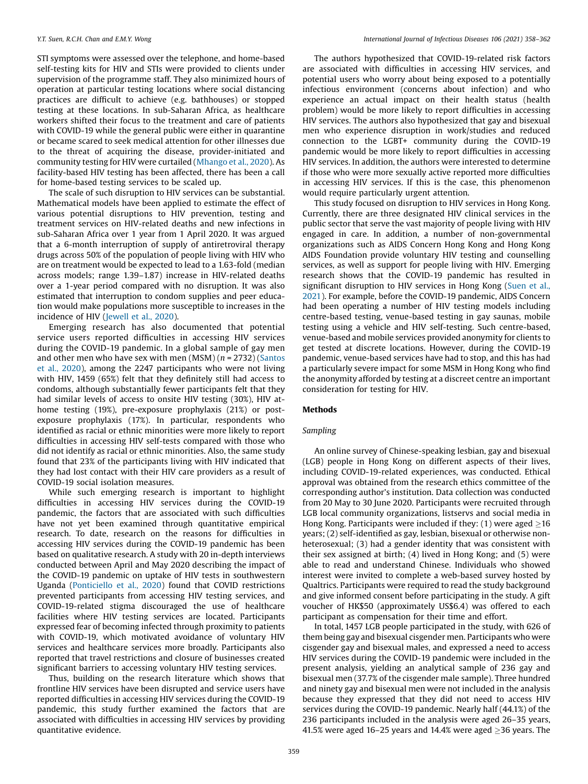STI symptoms were assessed over the telephone, and home-based self-testing kits for HIV and STIs were provided to clients under supervision of the programme staff. They also minimized hours of operation at particular testing locations where social distancing practices are difficult to achieve (e.g. bathhouses) or stopped testing at these locations. In sub‑Saharan Africa, as healthcare workers shifted their focus to the treatment and care of patients with COVID-19 while the general public were either in quarantine or became scared to seek medical attention for other illnesses due to the threat of acquiring the disease, provider-initiated and community testing for HIV were curtailed [\(Mhango](#page-4-0) et al., 2020). As facility-based HIV testing has been affected, there has been a call for home-based testing services to be scaled up.

The scale of such disruption to HIV services can be substantial. Mathematical models have been applied to estimate the effect of various potential disruptions to HIV prevention, testing and treatment services on HIV-related deaths and new infections in sub-Saharan Africa over 1 year from 1 April 2020. It was argued that a 6-month interruption of supply of antiretroviral therapy drugs across 50% of the population of people living with HIV who are on treatment would be expected to lead to a 1.63-fold (median across models; range 1.39–1.87) increase in HIV-related deaths over a 1-year period compared with no disruption. It was also estimated that interruption to condom supplies and peer education would make populations more susceptible to increases in the incidence of HIV [\(Jewell](#page-4-0) et al., 2020).

Emerging research has also documented that potential service users reported difficulties in accessing HIV services during the COVID-19 pandemic. In a global sample of gay men and other men who have sex with men  $(MSM)$  ( $n = 2732$ ) ([Santos](#page-4-0) et al., [2020](#page-4-0)), among the 2247 participants who were not living with HIV, 1459 (65%) felt that they definitely still had access to condoms, although substantially fewer participants felt that they had similar levels of access to onsite HIV testing (30%), HIV athome testing (19%), pre-exposure prophylaxis (21%) or postexposure prophylaxis (17%). In particular, respondents who identified as racial or ethnic minorities were more likely to report difficulties in accessing HIV self-tests compared with those who did not identify as racial or ethnic minorities. Also, the same study found that 23% of the participants living with HIV indicated that they had lost contact with their HIV care providers as a result of COVID-19 social isolation measures.

While such emerging research is important to highlight difficulties in accessing HIV services during the COVID-19 pandemic, the factors that are associated with such difficulties have not yet been examined through quantitative empirical research. To date, research on the reasons for difficulties in accessing HIV services during the COVID-19 pandemic has been based on qualitative research. A study with 20 in-depth interviews conducted between April and May 2020 describing the impact of the COVID-19 pandemic on uptake of HIV tests in southwestern Uganda ([Ponticiello](#page-4-0) et al., 2020) found that COVID restrictions prevented participants from accessing HIV testing services, and COVID-19-related stigma discouraged the use of healthcare facilities where HIV testing services are located. Participants expressed fear of becoming infected through proximity to patients with COVID-19, which motivated avoidance of voluntary HIV services and healthcare services more broadly. Participants also reported that travel restrictions and closure of businesses created significant barriers to accessing voluntary HIV testing services.

Thus, building on the research literature which shows that frontline HIV services have been disrupted and service users have reported difficulties in accessing HIV services during the COVID-19 pandemic, this study further examined the factors that are associated with difficulties in accessing HIV services by providing quantitative evidence.

The authors hypothesized that COVID-19-related risk factors are associated with difficulties in accessing HIV services, and potential users who worry about being exposed to a potentially infectious environment (concerns about infection) and who experience an actual impact on their health status (health problem) would be more likely to report difficulties in accessing HIV services. The authors also hypothesized that gay and bisexual men who experience disruption in work/studies and reduced connection to the LGBT+ community during the COVID-19 pandemic would be more likely to report difficulties in accessing HIV services. In addition, the authors were interested to determine if those who were more sexually active reported more difficulties in accessing HIV services. If this is the case, this phenomenon would require particularly urgent attention.

This study focused on disruption to HIV services in Hong Kong. Currently, there are three designated HIV clinical services in the public sector that serve the vast majority of people living with HIV engaged in care. In addition, a number of non-governmental organizations such as AIDS Concern Hong Kong and Hong Kong AIDS Foundation provide voluntary HIV testing and counselling services, as well as support for people living with HIV. Emerging research shows that the COVID-19 pandemic has resulted in significant disruption to HIV services in Hong Kong [\(Suen](#page-4-0) et al., [2021](#page-4-0)). For example, before the COVID-19 pandemic, AIDS Concern had been operating a number of HIV testing models including centre-based testing, venue-based testing in gay saunas, mobile testing using a vehicle and HIV self-testing. Such centre-based, venue-based and mobile services provided anonymity for clients to get tested at discrete locations. However, during the COVID-19 pandemic, venue-based services have had to stop, and this has had a particularly severe impact for some MSM in Hong Kong who find the anonymity afforded by testing at a discreet centre an important consideration for testing for HIV.

#### Methods

#### Sampling

An online survey of Chinese-speaking lesbian, gay and bisexual (LGB) people in Hong Kong on different aspects of their lives, including COVID-19-related experiences, was conducted. Ethical approval was obtained from the research ethics committee of the corresponding author's institution. Data collection was conducted from 20 May to 30 June 2020. Participants were recruited through LGB local community organizations, listservs and social media in Hong Kong. Participants were included if they: (1) were aged  $\geq$ 16 years; (2) self-identified as gay, lesbian, bisexual or otherwise nonheterosexual; (3) had a gender identity that was consistent with their sex assigned at birth; (4) lived in Hong Kong; and (5) were able to read and understand Chinese. Individuals who showed interest were invited to complete a web-based survey hosted by Qualtrics. Participants were required to read the study background and give informed consent before participating in the study. A gift voucher of HK\$50 (approximately US\$6.4) was offered to each participant as compensation for their time and effort.

In total, 1457 LGB people participated in the study, with 626 of them being gay and bisexual cisgender men. Participants who were cisgender gay and bisexual males, and expressed a need to access HIV services during the COVID-19 pandemic were included in the present analysis, yielding an analytical sample of 236 gay and bisexual men (37.7% of the cisgender male sample). Three hundred and ninety gay and bisexual men were not included in the analysis because they expressed that they did not need to access HIV services during the COVID-19 pandemic. Nearly half (44.1%) of the 236 participants included in the analysis were aged 26–35 years, 41.5% were aged 16–25 years and 14.4% were aged  $\geq$ 36 years. The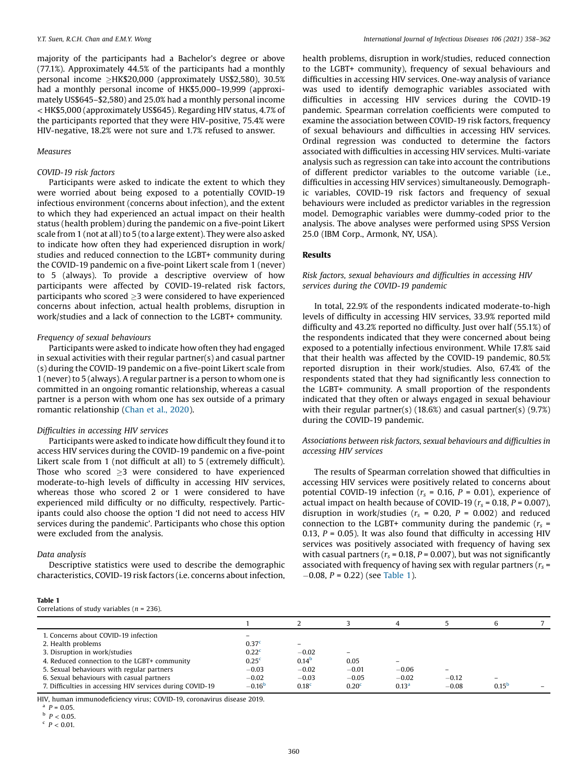majority of the participants had a Bachelor's degree or above (77.1%). Approximately 44.5% of the participants had a monthly personal income  $\geq$ HK\$20,000 (approximately US\$2,580), 30.5% had a monthly personal income of HK\$5,000–19,999 (approximately US\$645–\$2,580) and 25.0% had a monthly personal income < HK\$5,000 (approximately US\$645). Regarding HIV status, 4.7% of the participants reported that they were HIV-positive, 75.4% were HIV-negative, 18.2% were not sure and 1.7% refused to answer.

#### Measures

## COVID-19 risk factors

Participants were asked to indicate the extent to which they were worried about being exposed to a potentially COVID-19 infectious environment (concerns about infection), and the extent to which they had experienced an actual impact on their health status (health problem) during the pandemic on a five-point Likert scale from 1 (not at all) to 5 (to a large extent). They were also asked to indicate how often they had experienced disruption in work/ studies and reduced connection to the LGBT+ community during the COVID-19 pandemic on a five-point Likert scale from 1 (never) to 5 (always). To provide a descriptive overview of how participants were affected by COVID-19-related risk factors, participants who scored  $\geq$ 3 were considered to have experienced concerns about infection, actual health problems, disruption in work/studies and a lack of connection to the LGBT+ community.

#### Frequency of sexual behaviours

Participants were asked to indicate how often they had engaged in sexual activities with their regular partner(s) and casual partner (s) during the COVID-19 pandemic on a five-point Likert scale from 1 (never) to 5 (always). A regular partner is a person to whom one is committed in an ongoing romantic relationship, whereas a casual partner is a person with whom one has sex outside of a primary romantic relationship (Chan et al., [2020\)](#page-4-0).

#### Difficulties in accessing HIV services

Participants were asked to indicate how difficult they found it to access HIV services during the COVID-19 pandemic on a five-point Likert scale from 1 (not difficult at all) to 5 (extremely difficult). Those who scored  $\geq$ 3 were considered to have experienced moderate-to-high levels of difficulty in accessing HIV services, whereas those who scored 2 or 1 were considered to have experienced mild difficulty or no difficulty, respectively. Participants could also choose the option 'I did not need to access HIV services during the pandemic'. Participants who chose this option were excluded from the analysis.

# Data analysis

Descriptive statistics were used to describe the demographic characteristics, COVID-19 risk factors (i.e. concerns about infection,

| Table 1                                        |  |  |
|------------------------------------------------|--|--|
| Correlations of study variables ( $n = 236$ ). |  |  |

health problems, disruption in work/studies, reduced connection to the LGBT+ community), frequency of sexual behaviours and difficulties in accessing HIV services. One-way analysis of variance was used to identify demographic variables associated with difficulties in accessing HIV services during the COVID-19 pandemic. Spearman correlation coefficients were computed to examine the association between COVID-19 risk factors, frequency of sexual behaviours and difficulties in accessing HIV services. Ordinal regression was conducted to determine the factors associated with difficulties in accessing HIV services. Multi-variate analysis such as regression can take into account the contributions of different predictor variables to the outcome variable (i.e., difficulties in accessing HIV services) simultaneously. Demographic variables, COVID-19 risk factors and frequency of sexual behaviours were included as predictor variables in the regression model. Demographic variables were dummy-coded prior to the analysis. The above analyses were performed using SPSS Version 25.0 (IBM Corp., Armonk, NY, USA).

# Results

# Risk factors, sexual behaviours and difficulties in accessing HIV services during the COVID-19 pandemic

In total, 22.9% of the respondents indicated moderate-to-high levels of difficulty in accessing HIV services, 33.9% reported mild difficulty and 43.2% reported no difficulty. Just over half (55.1%) of the respondents indicated that they were concerned about being exposed to a potentially infectious environment. While 17.8% said that their health was affected by the COVID-19 pandemic, 80.5% reported disruption in their work/studies. Also, 67.4% of the respondents stated that they had significantly less connection to the LGBT+ community. A small proportion of the respondents indicated that they often or always engaged in sexual behaviour with their regular partner(s) (18.6%) and casual partner(s)  $(9.7%)$ during the COVID-19 pandemic.

#### Associations between risk factors, sexual behaviours and difficulties in accessing HIV services

The results of Spearman correlation showed that difficulties in accessing HIV services were positively related to concerns about potential COVID-19 infection ( $r_s$  = 0.16, P = 0.01), experience of actual impact on health because of COVID-19 ( $r_s$  = 0.18, P = 0.007), disruption in work/studies ( $r_s$  = 0.20, P = 0.002) and reduced connection to the LGBT+ community during the pandemic  $(r_s =$ 0.13,  $P = 0.05$ ). It was also found that difficulty in accessing HIV services was positively associated with frequency of having sex with casual partners ( $r_s$  = 0.18, P = 0.007), but was not significantly associated with frequency of having sex with regular partners ( $r_s$  =  $-0.08$ ,  $P = 0.22$ ) (see Table 1).

|                                                           |                          |                          |                          | 4                        |         |                   |  |
|-----------------------------------------------------------|--------------------------|--------------------------|--------------------------|--------------------------|---------|-------------------|--|
| 1. Concerns about COVID-19 infection                      | $\overline{\phantom{0}}$ |                          |                          |                          |         |                   |  |
| 2. Health problems                                        | 0.37 <sup>c</sup>        | $\overline{\phantom{0}}$ |                          |                          |         |                   |  |
| 3. Disruption in work/studies                             | 0.22 <sup>c</sup>        | $-0.02$                  | $\overline{\phantom{0}}$ |                          |         |                   |  |
| 4. Reduced connection to the LGBT+ community              | 0.25 <sup>c</sup>        | 0.14 <sup>b</sup>        | 0.05                     | $\overline{\phantom{a}}$ |         |                   |  |
| 5. Sexual behaviours with regular partners                | $-0.03$                  | $-0.02$                  | $-0.01$                  | $-0.06$                  |         |                   |  |
| 6. Sexual behaviours with casual partners                 | $-0.02$                  | $-0.03$                  | $-0.05$                  | $-0.02$                  | $-0.12$ |                   |  |
| 7. Difficulties in accessing HIV services during COVID-19 | $-0.16b$                 | 0.18 <sup>c</sup>        | 0.20 <sup>c</sup>        | 0.13 <sup>a</sup>        | $-0.08$ | 0.15 <sup>b</sup> |  |

HIV, human immunodeficiency virus; COVID-19, coronavirus disease 2019.

 $P = 0.05$ .

 $b$   $P < 0.05$ .

 $P < 0.01$ .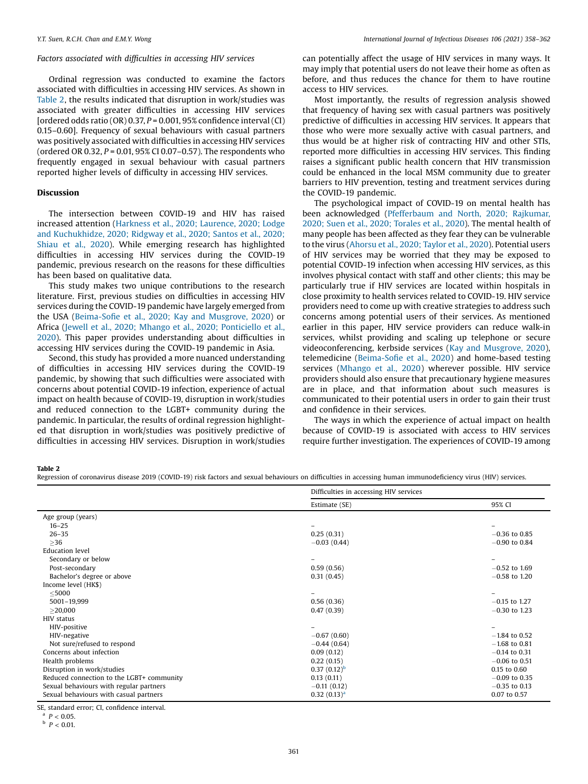# Factors associated with difficulties in accessing HIV services

Ordinal regression was conducted to examine the factors associated with difficulties in accessing HIV services. As shown in Table 2, the results indicated that disruption in work/studies was associated with greater difficulties in accessing HIV services [ordered odds ratio (OR)  $0.37$ ,  $P = 0.001$ , 95% confidence interval (CI) 0.15–0.60]. Frequency of sexual behaviours with casual partners was positively associated with difficulties in accessing HIV services (ordered OR 0.32,  $P = 0.01$ , 95% CI 0.07-0.57). The respondents who frequently engaged in sexual behaviour with casual partners reported higher levels of difficulty in accessing HIV services.

# Discussion

The intersection between COVID-19 and HIV has raised increased attention (Harkness et al., 2020; [Laurence,](#page-4-0) 2020; Lodge and [Kuchukhidze,](#page-4-0) 2020; Ridgway et al., 2020; Santos et al., 2020; [Shiau](#page-4-0) et al., 2020). While emerging research has highlighted difficulties in accessing HIV services during the COVID-19 pandemic, previous research on the reasons for these difficulties has been based on qualitative data.

This study makes two unique contributions to the research literature. First, previous studies on difficulties in accessing HIV services during the COVID-19 pandemic have largely emerged from the USA (Beima-Sofie et al., 2020; Kay and [Musgrove,](#page-4-0) 2020) or Africa (Jewell et al., 2020; Mhango et al., 2020; [Ponticiello](#page-4-0) et al., [2020\)](#page-4-0). This paper provides understanding about difficulties in accessing HIV services during the COVID-19 pandemic in Asia.

Second, this study has provided a more nuanced understanding of difficulties in accessing HIV services during the COVID-19 pandemic, by showing that such difficulties were associated with concerns about potential COVID-19 infection, experience of actual impact on health because of COVID-19, disruption in work/studies and reduced connection to the LGBT+ community during the pandemic. In particular, the results of ordinal regression highlighted that disruption in work/studies was positively predictive of difficulties in accessing HIV services. Disruption in work/studies can potentially affect the usage of HIV services in many ways. It may imply that potential users do not leave their home as often as before, and thus reduces the chance for them to have routine access to HIV services.

Most importantly, the results of regression analysis showed that frequency of having sex with casual partners was positively predictive of difficulties in accessing HIV services. It appears that those who were more sexually active with casual partners, and thus would be at higher risk of contracting HIV and other STIs, reported more difficulties in accessing HIV services. This finding raises a significant public health concern that HIV transmission could be enhanced in the local MSM community due to greater barriers to HIV prevention, testing and treatment services during the COVID-19 pandemic.

The psychological impact of COVID-19 on mental health has been acknowledged ([Pfefferbaum](#page-4-0) and North, 2020; Rajkumar, 2020; Suen et al., 2020; [Torales](#page-4-0) et al., 2020). The mental health of many people has been affected as they fear they can be vulnerable to the virus [\(Ahorsu](#page-4-0) et al., 2020; Taylor et al., 2020). Potential users of HIV services may be worried that they may be exposed to potential COVID-19 infection when accessing HIV services, as this involves physical contact with staff and other clients; this may be particularly true if HIV services are located within hospitals in close proximity to health services related to COVID-19. HIV service providers need to come up with creative strategies to address such concerns among potential users of their services. As mentioned earlier in this paper, HIV service providers can reduce walk-in services, whilst providing and scaling up telephone or secure videoconferencing, kerbside services (Kay and [Musgrove,](#page-4-0) 2020), telemedicine ([Beima-So](#page-4-0)fie et al., 2020) and home-based testing services ([Mhango](#page-4-0) et al., 2020) wherever possible. HIV service providers should also ensure that precautionary hygiene measures are in place, and that information about such measures is communicated to their potential users in order to gain their trust and confidence in their services.

The ways in which the experience of actual impact on health because of COVID-19 is associated with access to HIV services require further investigation. The experiences of COVID-19 among

Table 2

Regression of coronavirus disease 2019 (COVID-19) risk factors and sexual behaviours on difficulties in accessing human immunodeficiency virus (HIV) services.

|                                           | Difficulties in accessing HIV services |                 |
|-------------------------------------------|----------------------------------------|-----------------|
|                                           | Estimate (SE)                          | 95% CI          |
| Age group (years)                         |                                        |                 |
| $16 - 25$                                 |                                        |                 |
| $26 - 35$                                 | 0.25(0.31)                             | $-0.36$ to 0.85 |
| $\geq$ 36                                 | $-0.03(0.44)$                          | $-0.90$ to 0.84 |
| <b>Education</b> level                    |                                        |                 |
| Secondary or below                        |                                        |                 |
| Post-secondary                            | 0.59(0.56)                             | $-0.52$ to 1.69 |
| Bachelor's degree or above                | 0.31(0.45)                             | $-0.58$ to 1.20 |
| Income level (HK\$)                       |                                        |                 |
| $<$ 5000                                  |                                        |                 |
| 5001-19,999                               | 0.56(0.36)                             | $-0.15$ to 1.27 |
| >20,000                                   | 0.47(0.39)                             | $-0.30$ to 1.23 |
| <b>HIV status</b>                         |                                        |                 |
| HIV-positive                              |                                        |                 |
| HIV-negative                              | $-0.67(0.60)$                          | $-1.84$ to 0.52 |
| Not sure/refused to respond               | $-0.44(0.64)$                          | $-1.68$ to 0.81 |
| Concerns about infection                  | 0.09(0.12)                             | $-0.14$ to 0.31 |
| Health problems                           | 0.22(0.15)                             | $-0.06$ to 0.51 |
| Disruption in work/studies                | $0.37(0.12)^{b}$                       | 0.15 to 0.60    |
| Reduced connection to the LGBT+ community | 0.13(0.11)                             | $-0.09$ to 0.35 |
| Sexual behaviours with regular partners   | $-0.11(0.12)$                          | $-0.35$ to 0.13 |
| Sexual behaviours with casual partners    | $0.32(0.13)^{a}$                       | 0.07 to 0.57    |

SE, standard error; CI, confidence interval.

 $P < 0.05$ .

 $b$   $P < 0.01$ .